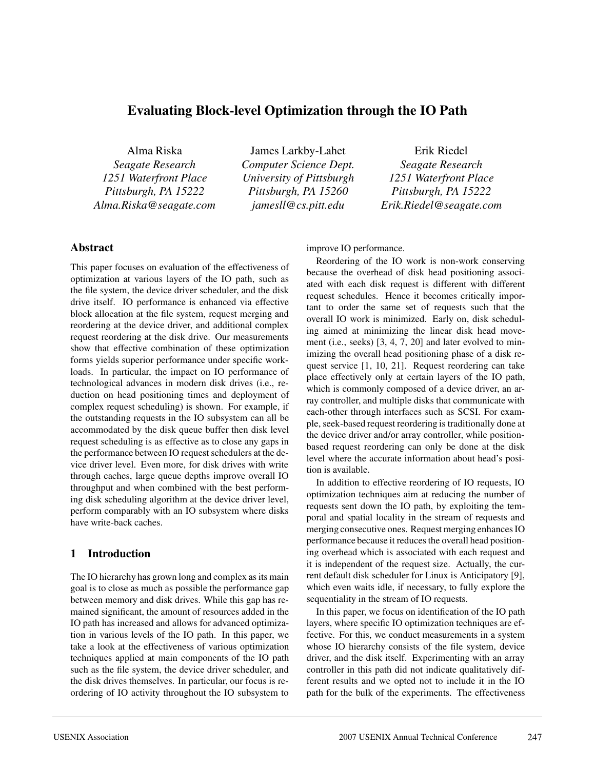# **Evaluating Block-level Optimization through the IO Path**

Alma Riska

*Seagate Research 1251 Waterfront Place Pittsburgh, PA 15222 Alma.Riska@seagate.com*

James Larkby-Lahet *Computer Science Dept. University of Pittsburgh Pittsburgh, PA 15260 jamesll@cs.pitt.edu*

Erik Riedel

*Seagate Research 1251 Waterfront Place Pittsburgh, PA 15222 Erik.Riedel@seagate.com*

### **Abstract**

This paper focuses on evaluation of the effectiveness of optimization at various layers of the IO path, such as the file system, the device driver scheduler, and the disk drive itself. IO performance is enhanced via effective block allocation at the file system, request merging and reordering at the device driver, and additional complex request reordering at the disk drive. Our measurements show that effective combination of these optimization forms yields superior performance under specific workloads. In particular, the impact on IO performance of technological advances in modern disk drives (i.e., reduction on head positioning times and deployment of complex request scheduling) is shown. For example, if the outstanding requests in the IO subsystem can all be accommodated by the disk queue buffer then disk level request scheduling is as effective as to close any gaps in the performance between IO request schedulers at the device driver level. Even more, for disk drives with write through caches, large queue depths improve overall IO throughput and when combined with the best performing disk scheduling algorithm at the device driver level, perform comparably with an IO subsystem where disks have write-back caches.

## **1 Introduction**

The IO hierarchy has grown long and complex as its main goal is to close as much as possible the performance gap between memory and disk drives. While this gap has remained significant, the amount of resources added in the IO path has increased and allows for advanced optimization in various levels of the IO path. In this paper, we take a look at the effectiveness of various optimization techniques applied at main components of the IO path such as the file system, the device driver scheduler, and the disk drives themselves. In particular, our focus is reordering of IO activity throughout the IO subsystem to

improve IO performance.

Reordering of the IO work is non-work conserving because the overhead of disk head positioning associated with each disk request is different with different request schedules. Hence it becomes critically important to order the same set of requests such that the overall IO work is minimized. Early on, disk scheduling aimed at minimizing the linear disk head movement (i.e., seeks) [3, 4, 7, 20] and later evolved to minimizing the overall head positioning phase of a disk request service [1, 10, 21]. Request reordering can take place effectively only at certain layers of the IO path, which is commonly composed of a device driver, an array controller, and multiple disks that communicate with each-other through interfaces such as SCSI. For example, seek-based request reordering is traditionally done at the device driver and/or array controller, while positionbased request reordering can only be done at the disk level where the accurate information about head's position is available.

In addition to effective reordering of IO requests, IO optimization techniques aim at reducing the number of requests sent down the IO path, by exploiting the temporal and spatial locality in the stream of requests and merging consecutive ones. Request merging enhances IO performance because it reduces the overall head positioning overhead which is associated with each request and it is independent of the request size. Actually, the current default disk scheduler for Linux is Anticipatory [9], which even waits idle, if necessary, to fully explore the sequentiality in the stream of IO requests.

In this paper, we focus on identification of the IO path layers, where specific IO optimization techniques are effective. For this, we conduct measurements in a system whose IO hierarchy consists of the file system, device driver, and the disk itself. Experimenting with an array controller in this path did not indicate qualitatively different results and we opted not to include it in the IO path for the bulk of the experiments. The effectiveness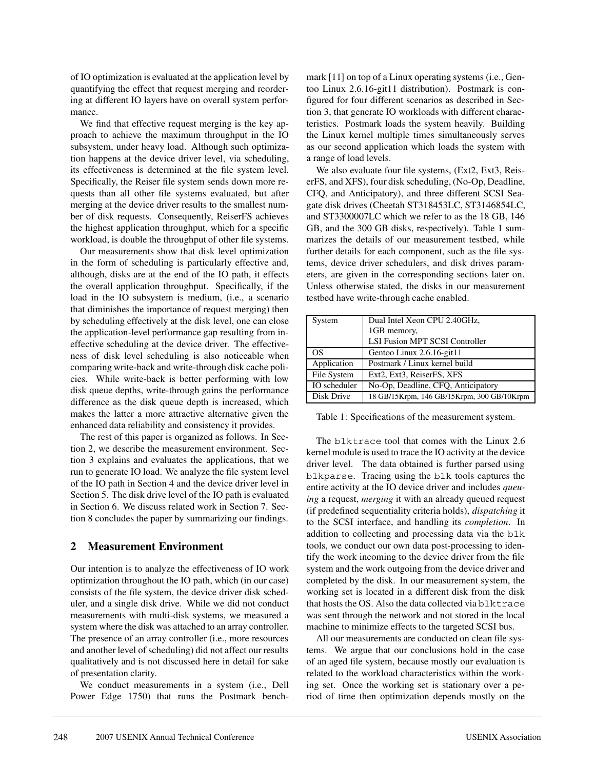of IO optimization is evaluated at the application level by quantifying the effect that request merging and reordering at different IO layers have on overall system performance.

We find that effective request merging is the key approach to achieve the maximum throughput in the IO subsystem, under heavy load. Although such optimization happens at the device driver level, via scheduling, its effectiveness is determined at the file system level. Specifically, the Reiser file system sends down more requests than all other file systems evaluated, but after merging at the device driver results to the smallest number of disk requests. Consequently, ReiserFS achieves the highest application throughput, which for a specific workload, is double the throughput of other file systems.

Our measurements show that disk level optimization in the form of scheduling is particularly effective and, although, disks are at the end of the IO path, it effects the overall application throughput. Specifically, if the load in the IO subsystem is medium, (i.e., a scenario that diminishes the importance of request merging) then by scheduling effectively at the disk level, one can close the application-level performance gap resulting from ineffective scheduling at the device driver. The effectiveness of disk level scheduling is also noticeable when comparing write-back and write-through disk cache policies. While write-back is better performing with low disk queue depths, write-through gains the performance difference as the disk queue depth is increased, which makes the latter a more attractive alternative given the enhanced data reliability and consistency it provides.

The rest of this paper is organized as follows. In Section 2, we describe the measurement environment. Section 3 explains and evaluates the applications, that we run to generate IO load. We analyze the file system level of the IO path in Section 4 and the device driver level in Section 5. The disk drive level of the IO path is evaluated in Section 6. We discuss related work in Section 7. Section 8 concludes the paper by summarizing our findings.

### **2 Measurement Environment**

Our intention is to analyze the effectiveness of IO work optimization throughout the IO path, which (in our case) consists of the file system, the device driver disk scheduler, and a single disk drive. While we did not conduct measurements with multi-disk systems, we measured a system where the disk was attached to an array controller. The presence of an array controller (i.e., more resources and another level of scheduling) did not affect our results qualitatively and is not discussed here in detail for sake of presentation clarity.

We conduct measurements in a system (i.e., Dell Power Edge 1750) that runs the Postmark benchmark [11] on top of a Linux operating systems (i.e., Gentoo Linux 2.6.16-git11 distribution). Postmark is configured for four different scenarios as described in Section 3, that generate IO workloads with different characteristics. Postmark loads the system heavily. Building the Linux kernel multiple times simultaneously serves as our second application which loads the system with a range of load levels.

We also evaluate four file systems, (Ext2, Ext3, ReiserFS, and XFS), four disk scheduling, (No-Op, Deadline, CFQ, and Anticipatory), and three different SCSI Seagate disk drives (Cheetah ST318453LC, ST3146854LC, and ST3300007LC which we refer to as the 18 GB, 146 GB, and the 300 GB disks, respectively). Table 1 summarizes the details of our measurement testbed, while further details for each component, such as the file systems, device driver schedulers, and disk drives parameters, are given in the corresponding sections later on. Unless otherwise stated, the disks in our measurement testbed have write-through cache enabled.

| System       | Dual Intel Xeon CPU 2.40GHz,               |  |  |
|--------------|--------------------------------------------|--|--|
|              | 1GB memory,                                |  |  |
|              | LSI Fusion MPT SCSI Controller             |  |  |
| OS           | Gentoo Linux 2.6.16-git11                  |  |  |
| Application  | Postmark / Linux kernel build              |  |  |
| File System  | Ext2, Ext3, ReiserFS, XFS                  |  |  |
| IO scheduler | No-Op, Deadline, CFQ, Anticipatory         |  |  |
| Disk Drive   | 18 GB/15Krpm, 146 GB/15Krpm, 300 GB/10Krpm |  |  |

Table 1: Specifications of the measurement system.

The blktrace tool that comes with the Linux 2.6 kernel module is used to trace the IO activity at the device driver level. The data obtained is further parsed using blkparse. Tracing using the blk tools captures the entire activity at the IO device driver and includes *queuing* a request, *merging* it with an already queued request (if predefined sequentiality criteria holds), *dispatching* it to the SCSI interface, and handling its *completion*. In addition to collecting and processing data via the blk tools, we conduct our own data post-processing to identify the work incoming to the device driver from the file system and the work outgoing from the device driver and completed by the disk. In our measurement system, the working set is located in a different disk from the disk that hosts the OS. Also the data collected via blktrace was sent through the network and not stored in the local machine to minimize effects to the targeted SCSI bus.

All our measurements are conducted on clean file systems. We argue that our conclusions hold in the case of an aged file system, because mostly our evaluation is related to the workload characteristics within the working set. Once the working set is stationary over a period of time then optimization depends mostly on the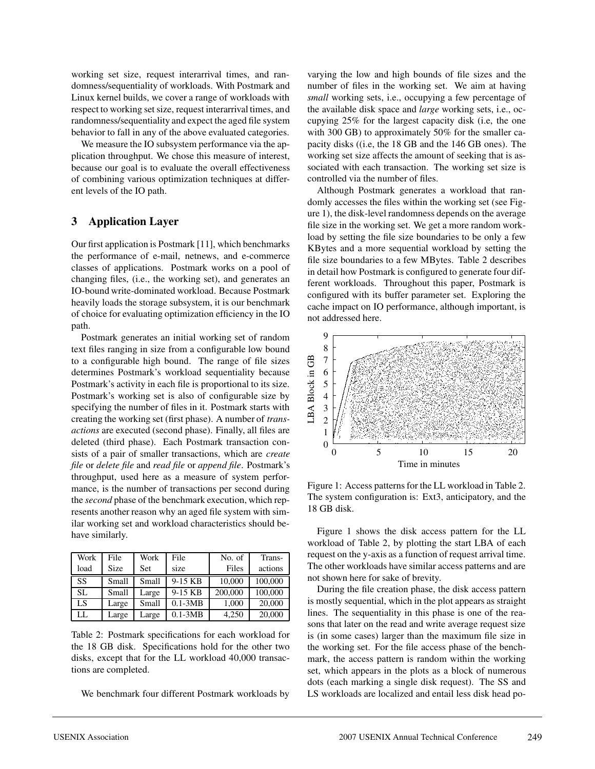working set size, request interarrival times, and randomness/sequentiality of workloads. With Postmark and Linux kernel builds, we cover a range of workloads with respect to working set size, request interarrival times, and randomness/sequentiality and expect the aged file system behavior to fall in any of the above evaluated categories.

We measure the IO subsystem performance via the application throughput. We chose this measure of interest, because our goal is to evaluate the overall effectiveness of combining various optimization techniques at different levels of the IO path.

# **3 Application Layer**

Our first application is Postmark [11], which benchmarks the performance of e-mail, netnews, and e-commerce classes of applications. Postmark works on a pool of changing files, (i.e., the working set), and generates an IO-bound write-dominated workload. Because Postmark heavily loads the storage subsystem, it is our benchmark of choice for evaluating optimization efficiency in the IO path.

Postmark generates an initial working set of random text files ranging in size from a configurable low bound to a configurable high bound. The range of file sizes determines Postmark's workload sequentiality because Postmark's activity in each file is proportional to its size. Postmark's working set is also of configurable size by specifying the number of files in it. Postmark starts with creating the working set (first phase). A number of *transactions* are executed (second phase). Finally, all files are deleted (third phase). Each Postmark transaction consists of a pair of smaller transactions, which are *create file* or *delete file* and *read file* or *append file*. Postmark's throughput, used here as a measure of system performance, is the number of transactions per second during the *second* phase of the benchmark execution, which represents another reason why an aged file system with similar working set and workload characteristics should behave similarly.

| Work      | File        | Work       | File        | No. of  | Trans-  |
|-----------|-------------|------------|-------------|---------|---------|
| load      | <b>Size</b> | <b>Set</b> | size        | Files   | actions |
| SS        | Small       | Small      | 9-15 KB     | 10,000  | 100,000 |
| <b>SL</b> | Small       | Large      | 9-15 KB     | 200,000 | 100,000 |
| LS        | Large       | Small      | $0.1 - 3MB$ | 1,000   | 20,000  |
| LL        | Large       | Large      | $0.1 - 3MB$ | 4,250   | 20,000  |

Table 2: Postmark specifications for each workload for the 18 GB disk. Specifications hold for the other two disks, except that for the LL workload 40,000 transactions are completed.

We benchmark four different Postmark workloads by

varying the low and high bounds of file sizes and the number of files in the working set. We aim at having *small* working sets, i.e., occupying a few percentage of the available disk space and *large* working sets, i.e., occupying 25% for the largest capacity disk (i.e, the one with 300 GB) to approximately 50% for the smaller capacity disks ((i.e, the 18 GB and the 146 GB ones). The working set size affects the amount of seeking that is associated with each transaction. The working set size is controlled via the number of files.

Although Postmark generates a workload that randomly accesses the files within the working set (see Figure 1), the disk-level randomness depends on the average file size in the working set. We get a more random workload by setting the file size boundaries to be only a few KBytes and a more sequential workload by setting the file size boundaries to a few MBytes. Table 2 describes in detail how Postmark is configured to generate four different workloads. Throughout this paper, Postmark is configured with its buffer parameter set. Exploring the cache impact on IO performance, although important, is not addressed here.



Figure 1: Access patterns for the LL workload in Table 2. The system configuration is: Ext3, anticipatory, and the 18 GB disk.

Figure 1 shows the disk access pattern for the LL workload of Table 2, by plotting the start LBA of each request on the y-axis as a function of request arrival time. The other workloads have similar access patterns and are not shown here for sake of brevity.

During the file creation phase, the disk access pattern is mostly sequential, which in the plot appears as straight lines. The sequentiality in this phase is one of the reasons that later on the read and write average request size is (in some cases) larger than the maximum file size in the working set. For the file access phase of the benchmark, the access pattern is random within the working set, which appears in the plots as a block of numerous dots (each marking a single disk request). The SS and LS workloads are localized and entail less disk head po-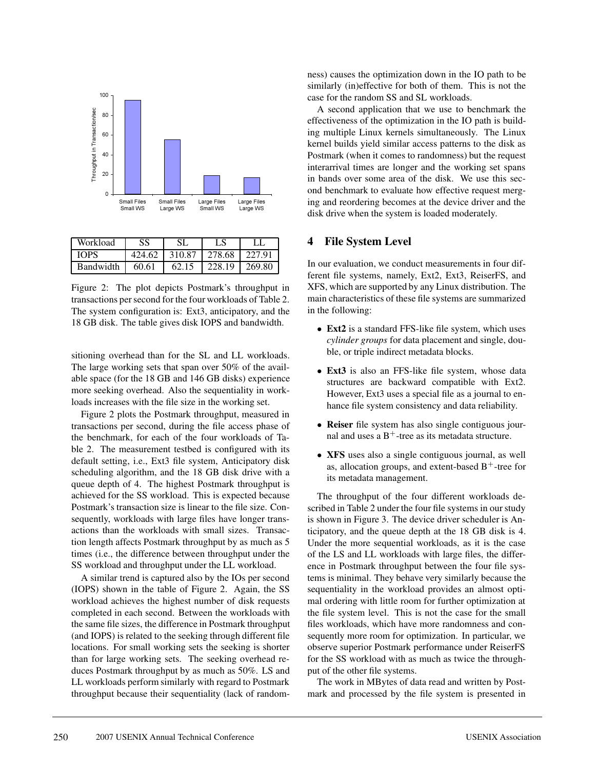

| Workload         | SS.    |       | LS                   |  |
|------------------|--------|-------|----------------------|--|
| <b>TOPS</b>      | 424.62 |       | 310.87 278.68 227.91 |  |
| <b>Bandwidth</b> | 60.61  | 62.15 | 228.19   269.80      |  |

Figure 2: The plot depicts Postmark's throughput in transactions per second for the four workloads of Table 2. The system configuration is: Ext3, anticipatory, and the 18 GB disk. The table gives disk IOPS and bandwidth.

sitioning overhead than for the SL and LL workloads. The large working sets that span over 50% of the available space (for the 18 GB and 146 GB disks) experience more seeking overhead. Also the sequentiality in workloads increases with the file size in the working set.

Figure 2 plots the Postmark throughput, measured in transactions per second, during the file access phase of the benchmark, for each of the four workloads of Table 2. The measurement testbed is configured with its default setting, i.e., Ext3 file system, Anticipatory disk scheduling algorithm, and the 18 GB disk drive with a queue depth of 4. The highest Postmark throughput is achieved for the SS workload. This is expected because Postmark's transaction size is linear to the file size. Consequently, workloads with large files have longer transactions than the workloads with small sizes. Transaction length affects Postmark throughput by as much as 5 times (i.e., the difference between throughput under the SS workload and throughput under the LL workload.

A similar trend is captured also by the IOs per second (IOPS) shown in the table of Figure 2. Again, the SS workload achieves the highest number of disk requests completed in each second. Between the workloads with the same file sizes, the difference in Postmark throughput (and IOPS) is related to the seeking through different file locations. For small working sets the seeking is shorter than for large working sets. The seeking overhead reduces Postmark throughput by as much as 50%. LS and LL workloads perform similarly with regard to Postmark throughput because their sequentiality (lack of randomness) causes the optimization down in the IO path to be similarly (in)effective for both of them. This is not the case for the random SS and SL workloads.

A second application that we use to benchmark the effectiveness of the optimization in the IO path is building multiple Linux kernels simultaneously. The Linux kernel builds yield similar access patterns to the disk as Postmark (when it comes to randomness) but the request interarrival times are longer and the working set spans in bands over some area of the disk. We use this second benchmark to evaluate how effective request merging and reordering becomes at the device driver and the disk drive when the system is loaded moderately.

## **4 File System Level**

In our evaluation, we conduct measurements in four different file systems, namely, Ext2, Ext3, ReiserFS, and XFS, which are supported by any Linux distribution. The main characteristics of these file systems are summarized in the following:

- **Ext2** is a standard FFS-like file system, which uses *cylinder groups* for data placement and single, double, or triple indirect metadata blocks.
- **Ext3** is also an FFS-like file system, whose data structures are backward compatible with Ext2. However, Ext3 uses a special file as a journal to enhance file system consistency and data reliability.
- **Reiser** file system has also single contiguous journal and uses a  $B^+$ -tree as its metadata structure.
- **XFS** uses also a single contiguous journal, as well as, allocation groups, and extent-based  $B^+$ -tree for its metadata management.

The throughput of the four different workloads described in Table 2 under the four file systems in our study is shown in Figure 3. The device driver scheduler is Anticipatory, and the queue depth at the 18 GB disk is 4. Under the more sequential workloads, as it is the case of the LS and LL workloads with large files, the difference in Postmark throughput between the four file systems is minimal. They behave very similarly because the sequentiality in the workload provides an almost optimal ordering with little room for further optimization at the file system level. This is not the case for the small files workloads, which have more randomness and consequently more room for optimization. In particular, we observe superior Postmark performance under ReiserFS for the SS workload with as much as twice the throughput of the other file systems.

The work in MBytes of data read and written by Postmark and processed by the file system is presented in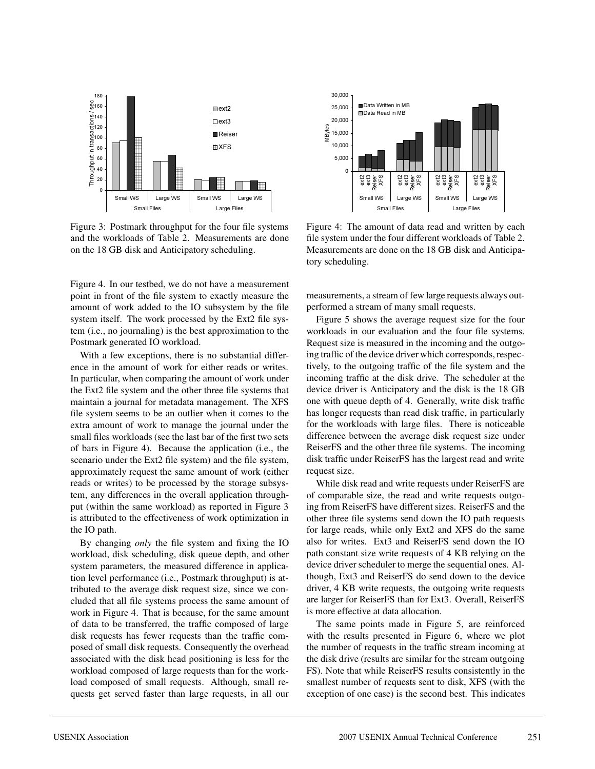

Figure 3: Postmark throughput for the four file systems and the workloads of Table 2. Measurements are done on the 18 GB disk and Anticipatory scheduling.

Figure 4. In our testbed, we do not have a measurement point in front of the file system to exactly measure the amount of work added to the IO subsystem by the file system itself. The work processed by the Ext2 file system (i.e., no journaling) is the best approximation to the Postmark generated IO workload.

With a few exceptions, there is no substantial difference in the amount of work for either reads or writes. In particular, when comparing the amount of work under the Ext2 file system and the other three file systems that maintain a journal for metadata management. The XFS file system seems to be an outlier when it comes to the extra amount of work to manage the journal under the small files workloads (see the last bar of the first two sets of bars in Figure 4). Because the application (i.e., the scenario under the Ext2 file system) and the file system, approximately request the same amount of work (either reads or writes) to be processed by the storage subsystem, any differences in the overall application throughput (within the same workload) as reported in Figure 3 is attributed to the effectiveness of work optimization in the IO path.

By changing *only* the file system and fixing the IO workload, disk scheduling, disk queue depth, and other system parameters, the measured difference in application level performance (i.e., Postmark throughput) is attributed to the average disk request size, since we concluded that all file systems process the same amount of work in Figure 4. That is because, for the same amount of data to be transferred, the traffic composed of large disk requests has fewer requests than the traffic composed of small disk requests. Consequently the overhead associated with the disk head positioning is less for the workload composed of large requests than for the workload composed of small requests. Although, small requests get served faster than large requests, in all our



Figure 4: The amount of data read and written by each file system under the four different workloads of Table 2. Measurements are done on the 18 GB disk and Anticipatory scheduling.

measurements, a stream of few large requests always outperformed a stream of many small requests.

Figure 5 shows the average request size for the four workloads in our evaluation and the four file systems. Request size is measured in the incoming and the outgoing traffic of the device driver which corresponds, respectively, to the outgoing traffic of the file system and the incoming traffic at the disk drive. The scheduler at the device driver is Anticipatory and the disk is the 18 GB one with queue depth of 4. Generally, write disk traffic has longer requests than read disk traffic, in particularly for the workloads with large files. There is noticeable difference between the average disk request size under ReiserFS and the other three file systems. The incoming disk traffic under ReiserFS has the largest read and write request size.

While disk read and write requests under ReiserFS are of comparable size, the read and write requests outgoing from ReiserFS have different sizes. ReiserFS and the other three file systems send down the IO path requests for large reads, while only Ext2 and XFS do the same also for writes. Ext3 and ReiserFS send down the IO path constant size write requests of 4 KB relying on the device driver scheduler to merge the sequential ones. Although, Ext3 and ReiserFS do send down to the device driver, 4 KB write requests, the outgoing write requests are larger for ReiserFS than for Ext3. Overall, ReiserFS is more effective at data allocation.

The same points made in Figure 5, are reinforced with the results presented in Figure 6, where we plot the number of requests in the traffic stream incoming at the disk drive (results are similar for the stream outgoing FS). Note that while ReiserFS results consistently in the smallest number of requests sent to disk, XFS (with the exception of one case) is the second best. This indicates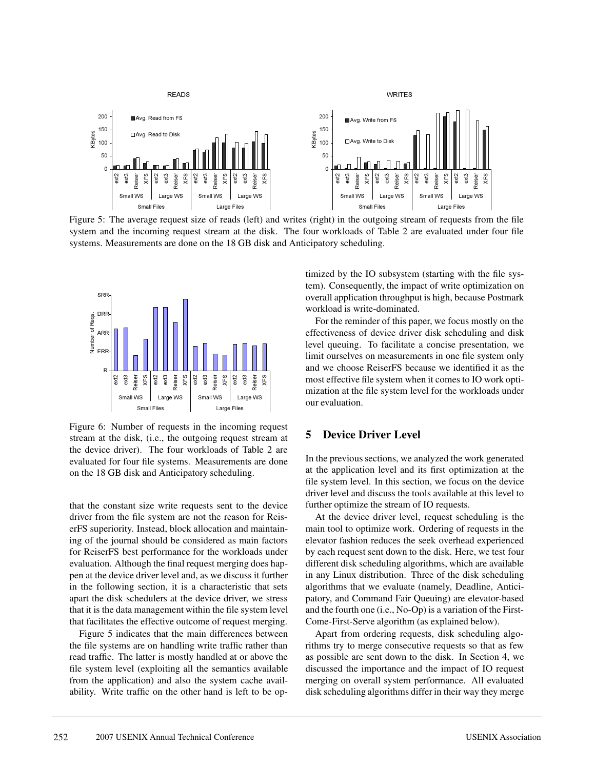

Figure 5: The average request size of reads (left) and writes (right) in the outgoing stream of requests from the file system and the incoming request stream at the disk. The four workloads of Table 2 are evaluated under four file systems. Measurements are done on the 18 GB disk and Anticipatory scheduling.



Figure 6: Number of requests in the incoming request stream at the disk, (i.e., the outgoing request stream at the device driver). The four workloads of Table 2 are evaluated for four file systems. Measurements are done on the 18 GB disk and Anticipatory scheduling.

that the constant size write requests sent to the device driver from the file system are not the reason for ReiserFS superiority. Instead, block allocation and maintaining of the journal should be considered as main factors for ReiserFS best performance for the workloads under evaluation. Although the final request merging does happen at the device driver level and, as we discuss it further in the following section, it is a characteristic that sets apart the disk schedulers at the device driver, we stress that it is the data management within the file system level that facilitates the effective outcome of request merging.

Figure 5 indicates that the main differences between the file systems are on handling write traffic rather than read traffic. The latter is mostly handled at or above the file system level (exploiting all the semantics available from the application) and also the system cache availability. Write traffic on the other hand is left to be optimized by the IO subsystem (starting with the file system). Consequently, the impact of write optimization on overall application throughput is high, because Postmark workload is write-dominated.

For the reminder of this paper, we focus mostly on the effectiveness of device driver disk scheduling and disk level queuing. To facilitate a concise presentation, we limit ourselves on measurements in one file system only and we choose ReiserFS because we identified it as the most effective file system when it comes to IO work optimization at the file system level for the workloads under our evaluation.

# **5 Device Driver Level**

In the previous sections, we analyzed the work generated at the application level and its first optimization at the file system level. In this section, we focus on the device driver level and discuss the tools available at this level to further optimize the stream of IO requests.

At the device driver level, request scheduling is the main tool to optimize work. Ordering of requests in the elevator fashion reduces the seek overhead experienced by each request sent down to the disk. Here, we test four different disk scheduling algorithms, which are available in any Linux distribution. Three of the disk scheduling algorithms that we evaluate (namely, Deadline, Anticipatory, and Command Fair Queuing) are elevator-based and the fourth one (i.e., No-Op) is a variation of the First-Come-First-Serve algorithm (as explained below).

Apart from ordering requests, disk scheduling algorithms try to merge consecutive requests so that as few as possible are sent down to the disk. In Section 4, we discussed the importance and the impact of IO request merging on overall system performance. All evaluated disk scheduling algorithms differ in their way they merge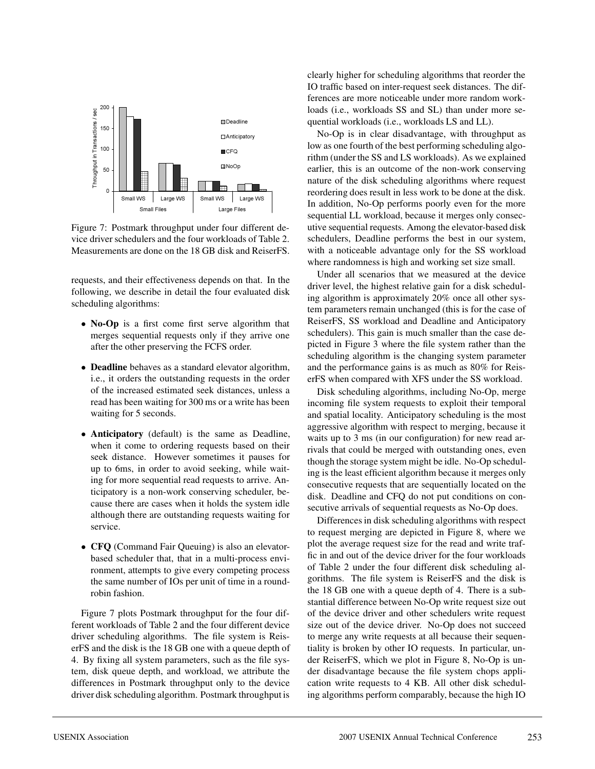

Figure 7: Postmark throughput under four different device driver schedulers and the four workloads of Table 2. Measurements are done on the 18 GB disk and ReiserFS.

requests, and their effectiveness depends on that. In the following, we describe in detail the four evaluated disk scheduling algorithms:

- **No-Op** is a first come first serve algorithm that merges sequential requests only if they arrive one after the other preserving the FCFS order.
- **Deadline** behaves as a standard elevator algorithm, i.e., it orders the outstanding requests in the order of the increased estimated seek distances, unless a read has been waiting for 300 ms or a write has been waiting for 5 seconds.
- **Anticipatory** (default) is the same as Deadline, when it come to ordering requests based on their seek distance. However sometimes it pauses for up to 6ms, in order to avoid seeking, while waiting for more sequential read requests to arrive. Anticipatory is a non-work conserving scheduler, because there are cases when it holds the system idle although there are outstanding requests waiting for service.
- **CFQ** (Command Fair Queuing) is also an elevatorbased scheduler that, that in a multi-process environment, attempts to give every competing process the same number of IOs per unit of time in a roundrobin fashion.

Figure 7 plots Postmark throughput for the four different workloads of Table 2 and the four different device driver scheduling algorithms. The file system is ReiserFS and the disk is the 18 GB one with a queue depth of 4. By fixing all system parameters, such as the file system, disk queue depth, and workload, we attribute the differences in Postmark throughput only to the device driver disk scheduling algorithm. Postmark throughput is

clearly higher for scheduling algorithms that reorder the IO traffic based on inter-request seek distances. The differences are more noticeable under more random workloads (i.e., workloads SS and SL) than under more sequential workloads (i.e., workloads LS and LL).

No-Op is in clear disadvantage, with throughput as low as one fourth of the best performing scheduling algorithm (under the SS and LS workloads). As we explained earlier, this is an outcome of the non-work conserving nature of the disk scheduling algorithms where request reordering does result in less work to be done at the disk. In addition, No-Op performs poorly even for the more sequential LL workload, because it merges only consecutive sequential requests. Among the elevator-based disk schedulers, Deadline performs the best in our system, with a noticeable advantage only for the SS workload where randomness is high and working set size small.

Under all scenarios that we measured at the device driver level, the highest relative gain for a disk scheduling algorithm is approximately 20% once all other system parameters remain unchanged (this is for the case of ReiserFS, SS workload and Deadline and Anticipatory schedulers). This gain is much smaller than the case depicted in Figure 3 where the file system rather than the scheduling algorithm is the changing system parameter and the performance gains is as much as 80% for ReiserFS when compared with XFS under the SS workload.

Disk scheduling algorithms, including No-Op, merge incoming file system requests to exploit their temporal and spatial locality. Anticipatory scheduling is the most aggressive algorithm with respect to merging, because it waits up to 3 ms (in our configuration) for new read arrivals that could be merged with outstanding ones, even though the storage system might be idle. No-Op scheduling is the least efficient algorithm because it merges only consecutive requests that are sequentially located on the disk. Deadline and CFQ do not put conditions on consecutive arrivals of sequential requests as No-Op does.

Differences in disk scheduling algorithms with respect to request merging are depicted in Figure 8, where we plot the average request size for the read and write traffic in and out of the device driver for the four workloads of Table 2 under the four different disk scheduling algorithms. The file system is ReiserFS and the disk is the 18 GB one with a queue depth of 4. There is a substantial difference between No-Op write request size out of the device driver and other schedulers write request size out of the device driver. No-Op does not succeed to merge any write requests at all because their sequentiality is broken by other IO requests. In particular, under ReiserFS, which we plot in Figure 8, No-Op is under disadvantage because the file system chops application write requests to 4 KB. All other disk scheduling algorithms perform comparably, because the high IO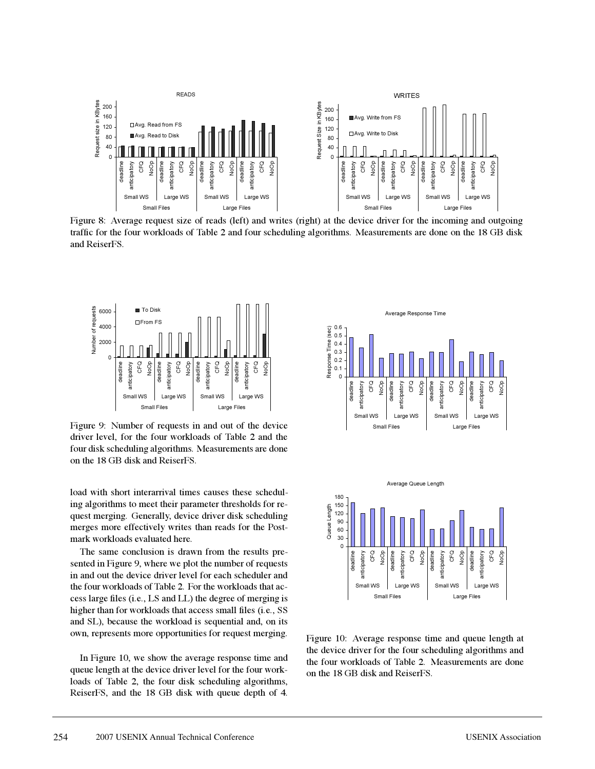

Figure 8: Average request size of reads (left) and writes (right) at the device driver for the incoming and outgoing traffic for the four workloads of Table 2 and four scheduling algorithms. Measurements are done on the 18 GB disk and ReiserFS.



Figure 9: Number of requests in and out of the device driver level, for the four workloads of Table 2 and the four disk scheduling algorithms. Measurements are done on the 18 GB disk and ReiserFS.

load with short interarrival times causes these scheduling algorithms to meet their parameter thresholds for request merging. Generally, device driver disk scheduling merges more effectively writes than reads for the Postmark workloads evaluated here.

The same conclusion is drawn from the results presented in Figure 9, where we plot the number of requests in and out the device driver level for each scheduler and the four workloads of Table 2. For the workloads that access large files (i.e., LS and LL) the degree of merging is higher than for workloads that access small files (i.e., SS and SL), because the workload is sequential and, on its own, represents more opportunities for request merging.

In Figure 10, we show the average response time and queue length at the device driver level for the four workloads of Table 2, the four disk scheduling algorithms, ReiserFS, and the 18 GB disk with queue depth of 4.





Figure 10: Average response time and queue length at the device driver for the four scheduling algorithms and the four workloads of Table 2. Measurements are done on the 18 GB disk and ReiserFS.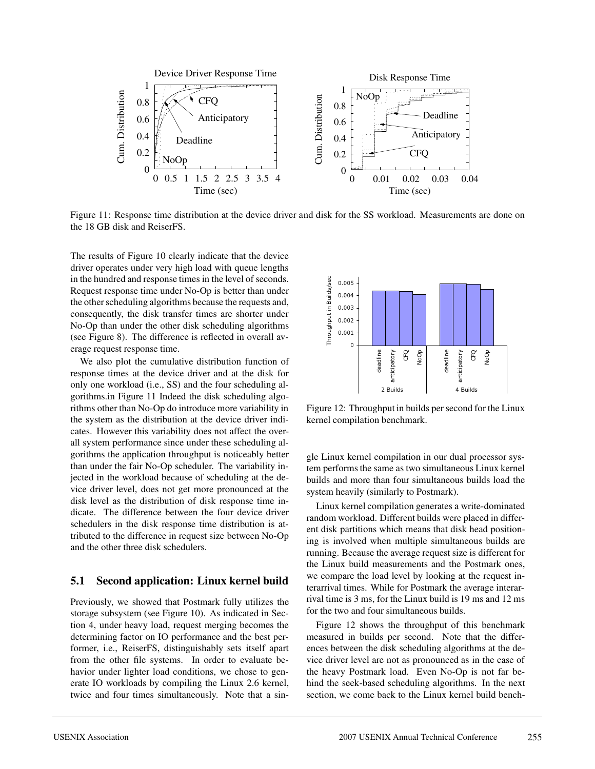

Figure 11: Response time distribution at the device driver and disk for the SS workload. Measurements are done on the 18 GB disk and ReiserFS.

The results of Figure 10 clearly indicate that the device driver operates under very high load with queue lengths in the hundred and response times in the level of seconds. Request response time under No-Op is better than under the other scheduling algorithms because the requests and, consequently, the disk transfer times are shorter under No-Op than under the other disk scheduling algorithms (see Figure 8). The difference is reflected in overall average request response time.

We also plot the cumulative distribution function of response times at the device driver and at the disk for only one workload (i.e., SS) and the four scheduling algorithms.in Figure 11 Indeed the disk scheduling algorithms other than No-Op do introduce more variability in the system as the distribution at the device driver indicates. However this variability does not affect the overall system performance since under these scheduling algorithms the application throughput is noticeably better than under the fair No-Op scheduler. The variability injected in the workload because of scheduling at the device driver level, does not get more pronounced at the disk level as the distribution of disk response time indicate. The difference between the four device driver schedulers in the disk response time distribution is attributed to the difference in request size between No-Op and the other three disk schedulers.

### **5.1 Second application: Linux kernel build**

Previously, we showed that Postmark fully utilizes the storage subsystem (see Figure 10). As indicated in Section 4, under heavy load, request merging becomes the determining factor on IO performance and the best performer, i.e., ReiserFS, distinguishably sets itself apart from the other file systems. In order to evaluate behavior under lighter load conditions, we chose to generate IO workloads by compiling the Linux 2.6 kernel, twice and four times simultaneously. Note that a sin-



Figure 12: Throughput in builds per second for the Linux kernel compilation benchmark.

gle Linux kernel compilation in our dual processor system performs the same as two simultaneous Linux kernel builds and more than four simultaneous builds load the system heavily (similarly to Postmark).

Linux kernel compilation generates a write-dominated random workload. Different builds were placed in different disk partitions which means that disk head positioning is involved when multiple simultaneous builds are running. Because the average request size is different for the Linux build measurements and the Postmark ones, we compare the load level by looking at the request interarrival times. While for Postmark the average interarrival time is 3 ms, for the Linux build is 19 ms and 12 ms for the two and four simultaneous builds.

Figure 12 shows the throughput of this benchmark measured in builds per second. Note that the differences between the disk scheduling algorithms at the device driver level are not as pronounced as in the case of the heavy Postmark load. Even No-Op is not far behind the seek-based scheduling algorithms. In the next section, we come back to the Linux kernel build bench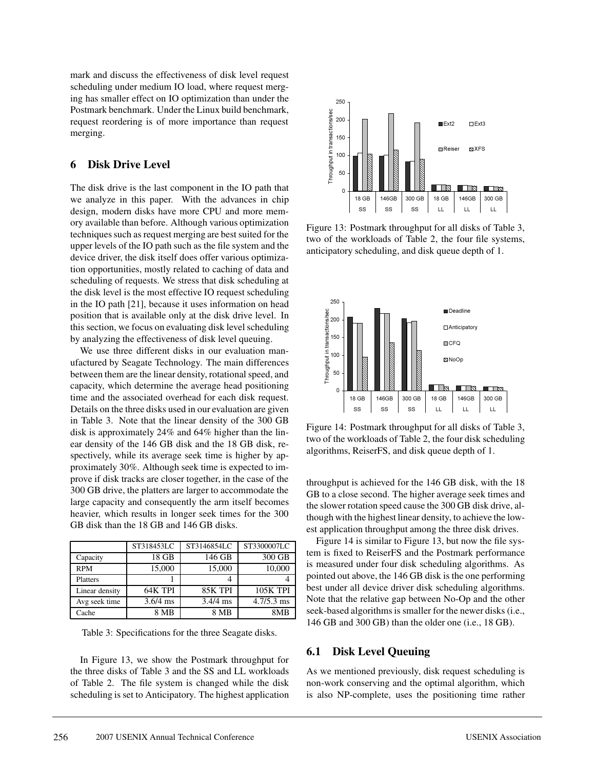mark and discuss the effectiveness of disk level request scheduling under medium IO load, where request merging has smaller effect on IO optimization than under the Postmark benchmark. Under the Linux build benchmark, request reordering is of more importance than request merging.

## **6 Disk Drive Level**

The disk drive is the last component in the IO path that we analyze in this paper. With the advances in chip design, modern disks have more CPU and more memory available than before. Although various optimization techniques such as request merging are best suited for the upper levels of the IO path such as the file system and the device driver, the disk itself does offer various optimization opportunities, mostly related to caching of data and scheduling of requests. We stress that disk scheduling at the disk level is the most effective IO request scheduling in the IO path [21], because it uses information on head position that is available only at the disk drive level. In this section, we focus on evaluating disk level scheduling by analyzing the effectiveness of disk level queuing.

We use three different disks in our evaluation manufactured by Seagate Technology. The main differences between them are the linear density, rotational speed, and capacity, which determine the average head positioning time and the associated overhead for each disk request. Details on the three disks used in our evaluation are given in Table 3. Note that the linear density of the 300 GB disk is approximately 24% and 64% higher than the linear density of the 146 GB disk and the 18 GB disk, respectively, while its average seek time is higher by approximately 30%. Although seek time is expected to improve if disk tracks are closer together, in the case of the 300 GB drive, the platters are larger to accommodate the large capacity and consequently the arm itself becomes heavier, which results in longer seek times for the 300 GB disk than the 18 GB and 146 GB disks.

|                | ST318453LC | ST3146854LC | ST3300007LC     |
|----------------|------------|-------------|-----------------|
| Capacity       | 18 GB      | 146 GB      | 300 GB          |
| <b>RPM</b>     | 15,000     | 15,000      | 10,000          |
| Platters       |            |             |                 |
| Linear density | 64K TPI    | 85K TPI     | <b>105K TPI</b> |
| Avg seek time  | $3.6/4$ ms | $3.4/4$ ms  | $4.7/5.3$ ms    |
| Cache          | 8 MB       | 8 MB        | 8M <sub>R</sub> |

Table 3: Specifications for the three Seagate disks.

In Figure 13, we show the Postmark throughput for the three disks of Table 3 and the SS and LL workloads of Table 2. The file system is changed while the disk scheduling is set to Anticipatory. The highest application



Figure 13: Postmark throughput for all disks of Table 3, two of the workloads of Table 2, the four file systems, anticipatory scheduling, and disk queue depth of 1.



Figure 14: Postmark throughput for all disks of Table 3, two of the workloads of Table 2, the four disk scheduling algorithms, ReiserFS, and disk queue depth of 1.

throughput is achieved for the 146 GB disk, with the 18 GB to a close second. The higher average seek times and the slower rotation speed cause the 300 GB disk drive, although with the highest linear density, to achieve the lowest application throughput among the three disk drives.

Figure 14 is similar to Figure 13, but now the file system is fixed to ReiserFS and the Postmark performance is measured under four disk scheduling algorithms. As pointed out above, the 146 GB disk is the one performing best under all device driver disk scheduling algorithms. Note that the relative gap between No-Op and the other seek-based algorithms is smaller for the newer disks (i.e., 146 GB and 300 GB) than the older one (i.e., 18 GB).

### **6.1 Disk Level Queuing**

As we mentioned previously, disk request scheduling is non-work conserving and the optimal algorithm, which is also NP-complete, uses the positioning time rather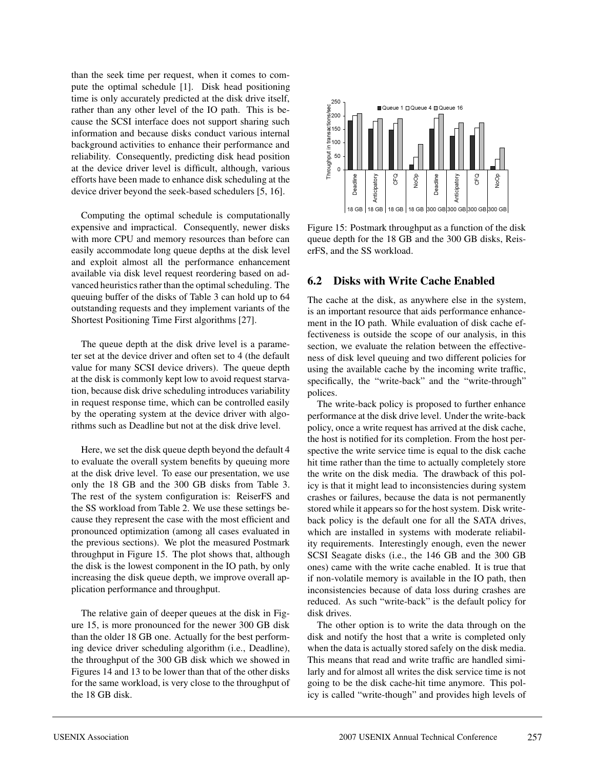than the seek time per request, when it comes to compute the optimal schedule [1]. Disk head positioning time is only accurately predicted at the disk drive itself, rather than any other level of the IO path. This is because the SCSI interface does not support sharing such information and because disks conduct various internal background activities to enhance their performance and reliability. Consequently, predicting disk head position at the device driver level is difficult, although, various efforts have been made to enhance disk scheduling at the device driver beyond the seek-based schedulers [5, 16].

Computing the optimal schedule is computationally expensive and impractical. Consequently, newer disks with more CPU and memory resources than before can easily accommodate long queue depths at the disk level and exploit almost all the performance enhancement available via disk level request reordering based on advanced heuristics rather than the optimal scheduling. The queuing buffer of the disks of Table 3 can hold up to 64 outstanding requests and they implement variants of the Shortest Positioning Time First algorithms [27].

The queue depth at the disk drive level is a parameter set at the device driver and often set to 4 (the default value for many SCSI device drivers). The queue depth at the disk is commonly kept low to avoid request starvation, because disk drive scheduling introduces variability in request response time, which can be controlled easily by the operating system at the device driver with algorithms such as Deadline but not at the disk drive level.

Here, we set the disk queue depth beyond the default 4 to evaluate the overall system benefits by queuing more at the disk drive level. To ease our presentation, we use only the 18 GB and the 300 GB disks from Table 3. The rest of the system configuration is: ReiserFS and the SS workload from Table 2. We use these settings because they represent the case with the most efficient and pronounced optimization (among all cases evaluated in the previous sections). We plot the measured Postmark throughput in Figure 15. The plot shows that, although the disk is the lowest component in the IO path, by only increasing the disk queue depth, we improve overall application performance and throughput.

The relative gain of deeper queues at the disk in Figure 15, is more pronounced for the newer 300 GB disk than the older 18 GB one. Actually for the best performing device driver scheduling algorithm (i.e., Deadline), the throughput of the 300 GB disk which we showed in Figures 14 and 13 to be lower than that of the other disks for the same workload, is very close to the throughput of the 18 GB disk.



Figure 15: Postmark throughput as a function of the disk queue depth for the 18 GB and the 300 GB disks, ReiserFS, and the SS workload.

## **6.2 Disks with Write Cache Enabled**

The cache at the disk, as anywhere else in the system, is an important resource that aids performance enhancement in the IO path. While evaluation of disk cache effectiveness is outside the scope of our analysis, in this section, we evaluate the relation between the effectiveness of disk level queuing and two different policies for using the available cache by the incoming write traffic, specifically, the "write-back" and the "write-through" polices.

The write-back policy is proposed to further enhance performance at the disk drive level. Under the write-back policy, once a write request has arrived at the disk cache, the host is notified for its completion. From the host perspective the write service time is equal to the disk cache hit time rather than the time to actually completely store the write on the disk media. The drawback of this policy is that it might lead to inconsistencies during system crashes or failures, because the data is not permanently stored while it appears so for the host system. Disk writeback policy is the default one for all the SATA drives, which are installed in systems with moderate reliability requirements. Interestingly enough, even the newer SCSI Seagate disks (i.e., the 146 GB and the 300 GB ones) came with the write cache enabled. It is true that if non-volatile memory is available in the IO path, then inconsistencies because of data loss during crashes are reduced. As such "write-back" is the default policy for disk drives.

The other option is to write the data through on the disk and notify the host that a write is completed only when the data is actually stored safely on the disk media. This means that read and write traffic are handled similarly and for almost all writes the disk service time is not going to be the disk cache-hit time anymore. This policy is called "write-though" and provides high levels of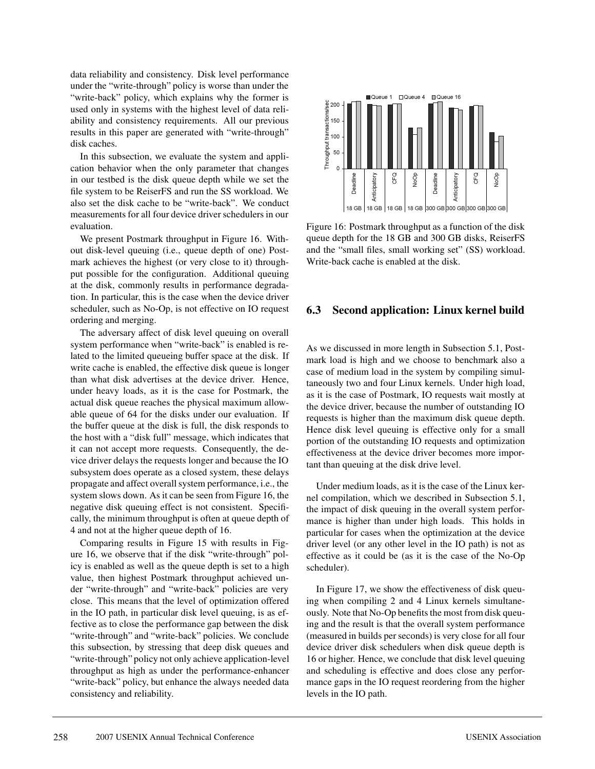data reliability and consistency. Disk level performance under the "write-through" policy is worse than under the "write-back" policy, which explains why the former is used only in systems with the highest level of data reliability and consistency requirements. All our previous results in this paper are generated with "write-through" disk caches.

In this subsection, we evaluate the system and application behavior when the only parameter that changes in our testbed is the disk queue depth while we set the file system to be ReiserFS and run the SS workload. We also set the disk cache to be "write-back". We conduct measurements for all four device driver schedulers in our evaluation.

We present Postmark throughput in Figure 16. Without disk-level queuing (i.e., queue depth of one) Postmark achieves the highest (or very close to it) throughput possible for the configuration. Additional queuing at the disk, commonly results in performance degradation. In particular, this is the case when the device driver scheduler, such as No-Op, is not effective on IO request ordering and merging.

The adversary affect of disk level queuing on overall system performance when "write-back" is enabled is related to the limited queueing buffer space at the disk. If write cache is enabled, the effective disk queue is longer than what disk advertises at the device driver. Hence, under heavy loads, as it is the case for Postmark, the actual disk queue reaches the physical maximum allowable queue of 64 for the disks under our evaluation. If the buffer queue at the disk is full, the disk responds to the host with a "disk full" message, which indicates that it can not accept more requests. Consequently, the device driver delays the requests longer and because the IO subsystem does operate as a closed system, these delays propagate and affect overall system performance, i.e., the system slows down. As it can be seen from Figure 16, the negative disk queuing effect is not consistent. Specifically, the minimum throughput is often at queue depth of 4 and not at the higher queue depth of 16.

Comparing results in Figure 15 with results in Figure 16, we observe that if the disk "write-through" policy is enabled as well as the queue depth is set to a high value, then highest Postmark throughput achieved under "write-through" and "write-back" policies are very close. This means that the level of optimization offered in the IO path, in particular disk level queuing, is as effective as to close the performance gap between the disk "write-through" and "write-back" policies. We conclude this subsection, by stressing that deep disk queues and "write-through" policy not only achieve application-level throughput as high as under the performance-enhancer "write-back" policy, but enhance the always needed data consistency and reliability.



Figure 16: Postmark throughput as a function of the disk queue depth for the 18 GB and 300 GB disks, ReiserFS and the "small files, small working set" (SS) workload. Write-back cache is enabled at the disk.

## **6.3 Second application: Linux kernel build**

As we discussed in more length in Subsection 5.1, Postmark load is high and we choose to benchmark also a case of medium load in the system by compiling simultaneously two and four Linux kernels. Under high load, as it is the case of Postmark, IO requests wait mostly at the device driver, because the number of outstanding IO requests is higher than the maximum disk queue depth. Hence disk level queuing is effective only for a small portion of the outstanding IO requests and optimization effectiveness at the device driver becomes more important than queuing at the disk drive level.

Under medium loads, as it is the case of the Linux kernel compilation, which we described in Subsection 5.1, the impact of disk queuing in the overall system performance is higher than under high loads. This holds in particular for cases when the optimization at the device driver level (or any other level in the IO path) is not as effective as it could be (as it is the case of the No-Op scheduler).

In Figure 17, we show the effectiveness of disk queuing when compiling 2 and 4 Linux kernels simultaneously. Note that No-Op benefits the most from disk queuing and the result is that the overall system performance (measured in builds per seconds) is very close for all four device driver disk schedulers when disk queue depth is 16 or higher. Hence, we conclude that disk level queuing and scheduling is effective and does close any performance gaps in the IO request reordering from the higher levels in the IO path.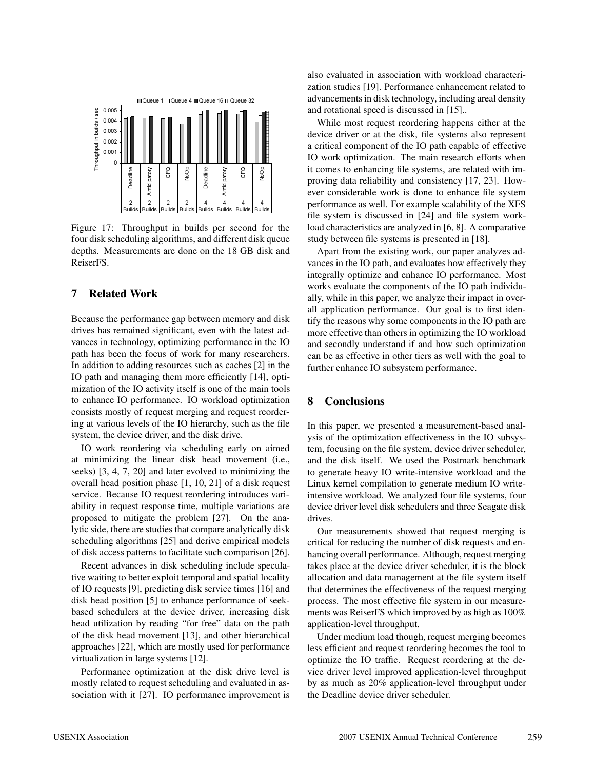

Figure 17: Throughput in builds per second for the four disk scheduling algorithms, and different disk queue depths. Measurements are done on the 18 GB disk and ReiserFS.

# **7 Related Work**

Because the performance gap between memory and disk drives has remained significant, even with the latest advances in technology, optimizing performance in the IO path has been the focus of work for many researchers. In addition to adding resources such as caches [2] in the IO path and managing them more efficiently [14], optimization of the IO activity itself is one of the main tools to enhance IO performance. IO workload optimization consists mostly of request merging and request reordering at various levels of the IO hierarchy, such as the file system, the device driver, and the disk drive.

IO work reordering via scheduling early on aimed at minimizing the linear disk head movement (i.e., seeks) [3, 4, 7, 20] and later evolved to minimizing the overall head position phase [1, 10, 21] of a disk request service. Because IO request reordering introduces variability in request response time, multiple variations are proposed to mitigate the problem [27]. On the analytic side, there are studies that compare analytically disk scheduling algorithms [25] and derive empirical models of disk access patterns to facilitate such comparison [26].

Recent advances in disk scheduling include speculative waiting to better exploit temporal and spatial locality of IO requests [9], predicting disk service times [16] and disk head position [5] to enhance performance of seekbased schedulers at the device driver, increasing disk head utilization by reading "for free" data on the path of the disk head movement [13], and other hierarchical approaches [22], which are mostly used for performance virtualization in large systems [12].

Performance optimization at the disk drive level is mostly related to request scheduling and evaluated in association with it [27]. IO performance improvement is also evaluated in association with workload characterization studies [19]. Performance enhancement related to advancements in disk technology, including areal density and rotational speed is discussed in [15]..

While most request reordering happens either at the device driver or at the disk, file systems also represent a critical component of the IO path capable of effective IO work optimization. The main research efforts when it comes to enhancing file systems, are related with improving data reliability and consistency [17, 23]. However considerable work is done to enhance file system performance as well. For example scalability of the XFS file system is discussed in [24] and file system workload characteristics are analyzed in [6, 8]. A comparative study between file systems is presented in [18].

Apart from the existing work, our paper analyzes advances in the IO path, and evaluates how effectively they integrally optimize and enhance IO performance. Most works evaluate the components of the IO path individually, while in this paper, we analyze their impact in overall application performance. Our goal is to first identify the reasons why some components in the IO path are more effective than others in optimizing the IO workload and secondly understand if and how such optimization can be as effective in other tiers as well with the goal to further enhance IO subsystem performance.

### **8 Conclusions**

In this paper, we presented a measurement-based analysis of the optimization effectiveness in the IO subsystem, focusing on the file system, device driver scheduler, and the disk itself. We used the Postmark benchmark to generate heavy IO write-intensive workload and the Linux kernel compilation to generate medium IO writeintensive workload. We analyzed four file systems, four device driver level disk schedulers and three Seagate disk drives.

Our measurements showed that request merging is critical for reducing the number of disk requests and enhancing overall performance. Although, request merging takes place at the device driver scheduler, it is the block allocation and data management at the file system itself that determines the effectiveness of the request merging process. The most effective file system in our measurements was ReiserFS which improved by as high as 100% application-level throughput.

Under medium load though, request merging becomes less efficient and request reordering becomes the tool to optimize the IO traffic. Request reordering at the device driver level improved application-level throughput by as much as 20% application-level throughput under the Deadline device driver scheduler.